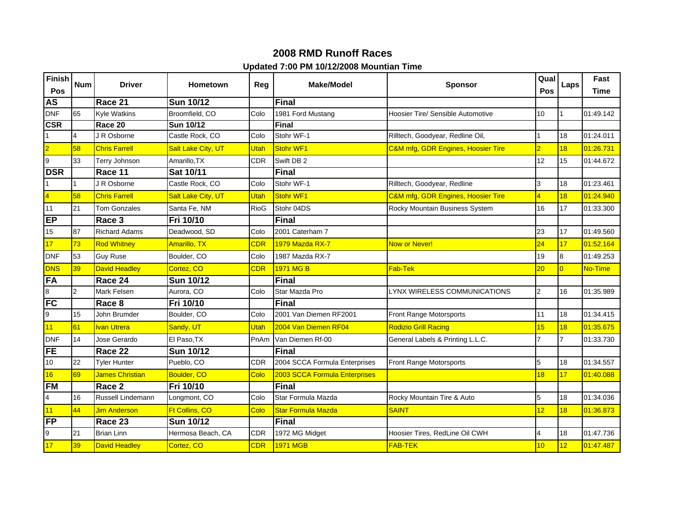## **2008 RMD Runoff Races Updated 7:00 PM 10/12/2008 Mountian Time**

| Finish                  | <b>Num</b>     | <b>Driver</b>          | <b>Hometown</b>    | Reg         | Make/Model                    | <b>Sponsor</b>                           | Qual                    | Laps           | Fast      |
|-------------------------|----------------|------------------------|--------------------|-------------|-------------------------------|------------------------------------------|-------------------------|----------------|-----------|
| Pos                     |                |                        |                    |             |                               |                                          | Pos                     |                | Time      |
| <b>AS</b>               |                | Race 21                | <b>Sun 10/12</b>   |             | Final                         |                                          |                         |                |           |
| <b>DNF</b>              | 65             | <b>Kyle Watkins</b>    | Broomfield, CO     | Colo        | 1981 Ford Mustang             | <b>Hoosier Tire/ Sensible Automotive</b> | 10                      |                | 01:49.142 |
| <b>CSR</b>              |                | Race 20                | <b>Sun 10/12</b>   |             | Final                         |                                          |                         |                |           |
| $\overline{1}$          | $\overline{4}$ | J R Osborne            | Castle Rock, CO    | Colo        | Stohr WF-1                    | Rilltech, Goodyear, Redline Oil,         |                         | 18             | 01:24.011 |
| $\overline{\mathbf{2}}$ | 58             | <b>Chris Farrell</b>   | Salt Lake City, UT | Utah        | <b>Stohr WF1</b>              | C&M mfg, GDR Engines, Hoosier Tire       | $\overline{2}$          | 18             | 01:26.731 |
| $\overline{9}$          | 33             | Terry Johnson          | Amarillo, TX       | <b>CDR</b>  | Swift DB 2                    |                                          | 12                      | 15             | 01:44.672 |
| <b>DSR</b>              |                | Race 11                | Sat 10/11          |             | <b>Final</b>                  |                                          |                         |                |           |
| $\overline{1}$          | 1              | J R Osborne            | Castle Rock, CO    | Colo        | Stohr WF-1                    | Rilltech, Goodyear, Redline              | 3                       | 18             | 01:23.461 |
| $\overline{4}$          | 58             | <b>Chris Farrell</b>   | Salt Lake City, UT | <b>Utah</b> | Stohr WF1                     | C&M mfg, GDR Engines, Hoosier Tire       | $\overline{4}$          | 18             | 01:24.940 |
| 11                      | 21             | <b>Tom Gonzales</b>    | Santa Fe, NM       | <b>RioG</b> | Stohr 04DS                    | Rocky Mountain Business System           | 16                      | 17             | 01:33.300 |
| EP                      |                | Race 3                 | Fri 10/10          |             | <b>Final</b>                  |                                          |                         |                |           |
| 15                      | 87             | <b>Richard Adams</b>   | Deadwood, SD       | Colo        | 2001 Caterham 7               |                                          | 23                      | 17             | 01:49.560 |
| 17                      | 73             | <b>Rod Whitney</b>     | Amarillo, TX       | <b>CDR</b>  | 1979 Mazda RX-7               | <b>Now or Never!</b>                     | 24                      | 17             | 01:52.164 |
| <b>DNF</b>              | 53             | <b>Guy Ruse</b>        | Boulder, CO        | Colo        | 1987 Mazda RX-7               |                                          | 19                      | 8              | 01:49.253 |
| <b>DNS</b>              | 39             | <b>David Headley</b>   | Cortez, CO         | <b>CDR</b>  | 1971 MG B                     | <b>Fab-Tek</b>                           | 20                      | $\overline{0}$ | No-Time   |
| FA                      |                | Race 24                | <b>Sun 10/12</b>   |             | <b>Final</b>                  |                                          |                         |                |           |
| $\overline{\mathbf{8}}$ | 2              | Mark Felsen            | Aurora, CO         | Colo        | Star Mazda Pro                | LYNX WIRELESS COMMUNICATIONS             | $\overline{2}$          | 16             | 01:35.989 |
| <b>FC</b>               |                | Race 8                 | Fri 10/10          |             | <b>Final</b>                  |                                          |                         |                |           |
| 9                       | 15             | John Brumder           | Boulder, CO        | Colo        | 2001 Van Diemen RF2001        | Front Range Motorsports                  | 11                      | 18             | 01:34.415 |
| 11                      | 61             | <b>Ivan Utrera</b>     | Sandy, UT          | <b>Utah</b> | 2004 Van Diemen RF04          | <b>Rodizio Grill Racing</b>              | 15                      | 18             | 01:35.675 |
| <b>DNF</b>              | 14             | Jose Gerardo           | El Paso.TX         | PnAm        | Van Diemen Rf-00              | General Labels & Printing L.L.C.         | $\overline{7}$          |                | 01:33.730 |
| <b>FE</b>               |                | Race 22                | <b>Sun 10/12</b>   |             | <b>Final</b>                  |                                          |                         |                |           |
| 10                      | 22             | <b>Tyler Hunter</b>    | Pueblo, CO         | <b>CDR</b>  | 2004 SCCA Formula Enterprises | Front Range Motorsports                  | 5                       | 18             | 01:34.557 |
| 16                      | 69             | <b>James Christian</b> | <b>Boulder, CO</b> | Colo        | 2003 SCCA Formula Enterprises |                                          | 18                      | 17             | 01:40.088 |
| <b>FM</b>               |                | Race 2                 | Fri 10/10          |             | <b>Final</b>                  |                                          |                         |                |           |
| $\overline{\mathbf{4}}$ | 16             | Russell Lindemann      | Longmont, CO       | Colo        | Star Formula Mazda            | Rocky Mountain Tire & Auto               | 5                       | 18             | 01:34.036 |
| 11                      | 44             | <b>Jim Anderson</b>    | Ft Collins, CO     | Colo        | <b>Star Formula Mazda</b>     | <b>SAINT</b>                             | 12                      | 18             | 01:36.873 |
| <b>FP</b>               |                | Race 23                | <b>Sun 10/12</b>   |             | <b>Final</b>                  |                                          |                         |                |           |
| 9                       | 21             | <b>Brian Linn</b>      | Hermosa Beach, CA  | <b>CDR</b>  | 1972 MG Midget                | Hoosier Tires, RedLine Oil CWH           | $\overline{\mathbf{4}}$ | 18             | 01:47.736 |
| 17                      | 39             | <b>David Headley</b>   | Cortez, CO         | <b>CDR</b>  | <b>1971 MGB</b>               | <b>FAB-TEK</b>                           | 10                      | 12             | 01:47.487 |